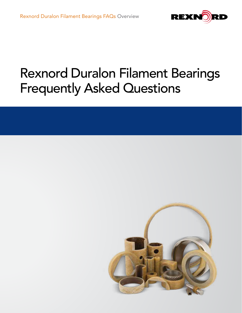

# Rexnord Duralon Filament Bearings Frequently Asked Questions

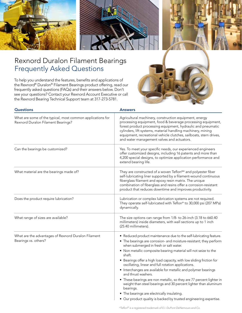

## Rexnord Duralon Filament Bearings Frequently Asked Questions

To help you understand the features, benefits and applications of the Rexnord® Duralon® Filament Bearings product offering, read our frequently asked questions (FAQs) and their answers below. Don't see your questions? Contact your Rexnord Account Executive or call the Rexnord Bearing Technical Support team at 317-273-5781.



| <b>Questions</b>                                                                                 | <b>Answers</b>                                                                                                                                                                                                                                                                                                                                                                                                                                                                                                                                                                                                                                                                                                                                                      |
|--------------------------------------------------------------------------------------------------|---------------------------------------------------------------------------------------------------------------------------------------------------------------------------------------------------------------------------------------------------------------------------------------------------------------------------------------------------------------------------------------------------------------------------------------------------------------------------------------------------------------------------------------------------------------------------------------------------------------------------------------------------------------------------------------------------------------------------------------------------------------------|
| What are some of the typical, most common applications for<br>Rexnord Duralon Filament Bearings? | Agricultural machinery, construction equipment, energy<br>processing equipment, food & beverage processing equipment,<br>forest product processing equipment, hydraulic and pneumatic<br>cylinders, lift systems, material handling machinery, mining<br>equipment, recreational vehicle clutches, sailboats, stern drives,<br>and water management valves and actuators.                                                                                                                                                                                                                                                                                                                                                                                           |
| Can the bearings be customized?                                                                  | Yes. To meet your specific needs, our experienced engineers<br>offer customized designs, including 16 patents and more than<br>4,200 special designs, to optimize application performance and<br>extend bearing life.                                                                                                                                                                                                                                                                                                                                                                                                                                                                                                                                               |
| What material are the bearings made of?                                                          | They are constructed of a woven Teflon®* and polyester fiber<br>self-lubricating liner supported by a filament-wound continuous<br>fiberglass filament and epoxy resin matrix. The unique<br>combination of fiberglass and resins offer a corrosion-resistant<br>product that reduces downtime and improves productivity.                                                                                                                                                                                                                                                                                                                                                                                                                                           |
| Does the product require lubrication?                                                            | Lubrication or complex lubrication systems are not required.<br>They operate self-lubricated with Teflon* to 30,000 psi (207 MPa)<br>dynamically.                                                                                                                                                                                                                                                                                                                                                                                                                                                                                                                                                                                                                   |
| What range of sizes are available?                                                               | The size options can range from 1/8- to 26-inch (3.18 to 660.40<br>millimeters) inside diameters, with wall sections up to 1 inch<br>(25.40 millimeters).                                                                                                                                                                                                                                                                                                                                                                                                                                                                                                                                                                                                           |
| What are the advantages of Rexnord Duralon Filament<br>Bearings vs. others?                      | • Reduced product maintenance due to the self-lubricating feature.<br>• The bearings are corrosion- and moisture-resistant; they perform<br>when submerged in fresh or salt water.<br>• Non metallic composite bearing material will not seize to the<br>shaft.<br>• Bearings offer a high load capacity, with low sliding friction for<br>oscillating, linear and full rotation applications.<br>• Interchanges are available for metallic and polymer bearings<br>and thrust washers.<br>• These bearings are non metallic, so they are 77 percent lighter in<br>weight than steel bearings and 30 percent lighter than aluminum<br>bearings.<br>• The bearings are electrically insulating.<br>• Our product quality is backed by trusted engineering expertise. |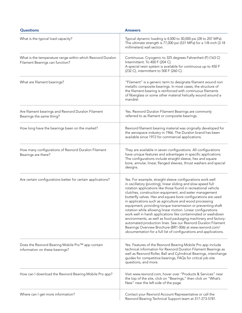| <b>Questions</b>                                                                              | <b>Answers</b>                                                                                                                                                                                                                                                                                                                                                                                                                                                                                                                                                                                                                                                                                                                                                                                                                                          |
|-----------------------------------------------------------------------------------------------|---------------------------------------------------------------------------------------------------------------------------------------------------------------------------------------------------------------------------------------------------------------------------------------------------------------------------------------------------------------------------------------------------------------------------------------------------------------------------------------------------------------------------------------------------------------------------------------------------------------------------------------------------------------------------------------------------------------------------------------------------------------------------------------------------------------------------------------------------------|
| What is the typical load capacity?                                                            | Typical dynamic loading is 4,000 to 30,000 psi (28 to 207 MPa).<br>The ultimate strength is 77,000 psi (531 MPa) for a 1/8-inch (3.18<br>millimeters) wall section.                                                                                                                                                                                                                                                                                                                                                                                                                                                                                                                                                                                                                                                                                     |
| What is the temperature range within which Rexnord Duralon<br>Filament Bearings can function? | Continuous: Cryogenic to 325 degrees Fahrenheit (F) (163 C)<br>Intermittent: To 400 F (204 C).<br>A special resin system is available for continuous up to 450 F<br>(232 C), intermittent to 500 F (260 C).                                                                                                                                                                                                                                                                                                                                                                                                                                                                                                                                                                                                                                             |
| What are filament bearings?                                                                   | "Filament" is a generic term to designate filament wound non<br>metallic composite bearings. In most cases, the structure of<br>the filament bearing is reinforced with continuous filaments<br>of fiberglass or some other material helically wound around a<br>mandrel.                                                                                                                                                                                                                                                                                                                                                                                                                                                                                                                                                                               |
| Are filament bearings and Rexnord Duralon Filament<br>Bearings the same thing?                | Yes. Rexnord Duralon Filament Bearings are commonly<br>referred to as filament or composite bearings.                                                                                                                                                                                                                                                                                                                                                                                                                                                                                                                                                                                                                                                                                                                                                   |
| How long have the bearings been on the market?                                                | Rexnord filament bearing material was originally developed for<br>the aerospace industry in 1966. The Duralon brand has been<br>available since 1972 for commercial applications.                                                                                                                                                                                                                                                                                                                                                                                                                                                                                                                                                                                                                                                                       |
| How many configurations of Rexnord Duralon Filament<br>Bearings are there?                    | They are available in seven configurations. All configurations<br>have unique features and advantages in specific applications.<br>The configurations include straight sleeve, hex and square<br>bore, annular, linear, flanged sleeves, thrust washers and special<br>designs.                                                                                                                                                                                                                                                                                                                                                                                                                                                                                                                                                                         |
| Are certain configurations better for certain applications?                                   | Yes. For example, straight sleeve configurations work well<br>in oscillatory (pivoting), linear sliding and slow-speed full<br>rotation applications like those found in recreational vehicle<br>clutches, construction equipment, and water management<br>butterfly valves. Hex and square bore configurations are used<br>in applications such as agriculture and wood processing<br>equipment, providing torque transmission or preventing shaft<br>rotation while allowing linear motion. Linear configurations<br>work well in harsh applications like contaminated or washdown<br>environments, as well as food packaging machinery and factory-<br>automated production lines. See our Rexnord Duralon Filament<br>Bearings Overview Brochure (BR1-006) at www.rexnord.com/<br>documentation for a full list of configurations and applications. |
| Does the Rexnord Bearing Mobile Pro™ app contain<br>information on these bearings?            | Yes. Features of the Rexnord Bearing Mobile Pro app include<br>technical information for Rexnord Duralon Filament Bearings as<br>well as Rexnord Roller, Ball and Cylindrical Bearings, interchange<br>guides for competitive bearings, FAQs for critical job site<br>questions, and more.                                                                                                                                                                                                                                                                                                                                                                                                                                                                                                                                                              |
| How can I download the Rexnord Bearing Mobile Pro app?                                        | Visit www.rexnord.com, hover over "Products & Services" near<br>the top of the site, click on "Bearings," then click on "What's<br>New" near the left side of the page.                                                                                                                                                                                                                                                                                                                                                                                                                                                                                                                                                                                                                                                                                 |
| Where can I get more information?                                                             | Contact your Rexnord Account Representative or call the<br>Rexnord Bearing Technical Support team at 317-273-5781.                                                                                                                                                                                                                                                                                                                                                                                                                                                                                                                                                                                                                                                                                                                                      |